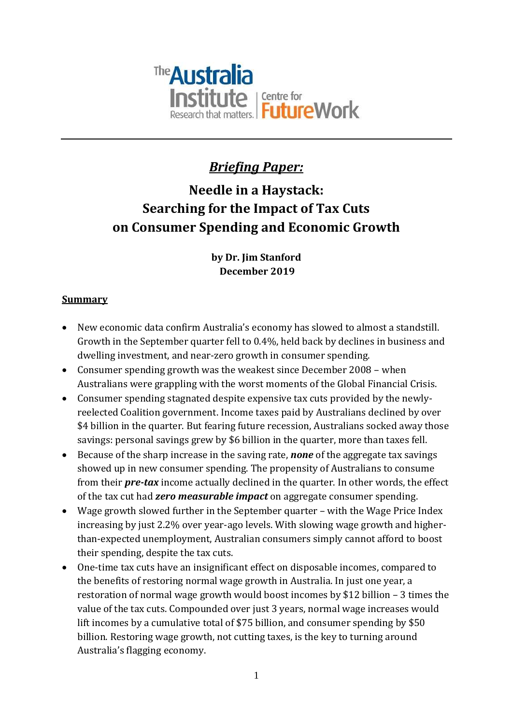

# *Briefing Paper:*

# **Needle in a Haystack: Searching for the Impact of Tax Cuts on Consumer Spending and Economic Growth**

### **by Dr. Jim Stanford December 2019**

#### **Summary**

- New economic data confirm Australia's economy has slowed to almost a standstill. Growth in the September quarter fell to 0.4%, held back by declines in business and dwelling investment, and near-zero growth in consumer spending.
- Consumer spending growth was the weakest since December 2008 when Australians were grappling with the worst moments of the Global Financial Crisis.
- Consumer spending stagnated despite expensive tax cuts provided by the newlyreelected Coalition government. Income taxes paid by Australians declined by over \$4 billion in the quarter. But fearing future recession, Australians socked away those savings: personal savings grew by \$6 billion in the quarter, more than taxes fell.
- Because of the sharp increase in the saving rate, *none* of the aggregate tax savings showed up in new consumer spending. The propensity of Australians to consume from their *pre-tax* income actually declined in the quarter. In other words, the effect of the tax cut had *zero measurable impact* on aggregate consumer spending.
- Wage growth slowed further in the September quarter with the Wage Price Index increasing by just 2.2% over year-ago levels. With slowing wage growth and higherthan-expected unemployment, Australian consumers simply cannot afford to boost their spending, despite the tax cuts.
- One-time tax cuts have an insignificant effect on disposable incomes, compared to the benefits of restoring normal wage growth in Australia. In just one year, a restoration of normal wage growth would boost incomes by \$12 billion – 3 times the value of the tax cuts. Compounded over just 3 years, normal wage increases would lift incomes by a cumulative total of \$75 billion, and consumer spending by \$50 billion. Restoring wage growth, not cutting taxes, is the key to turning around Australia's flagging economy.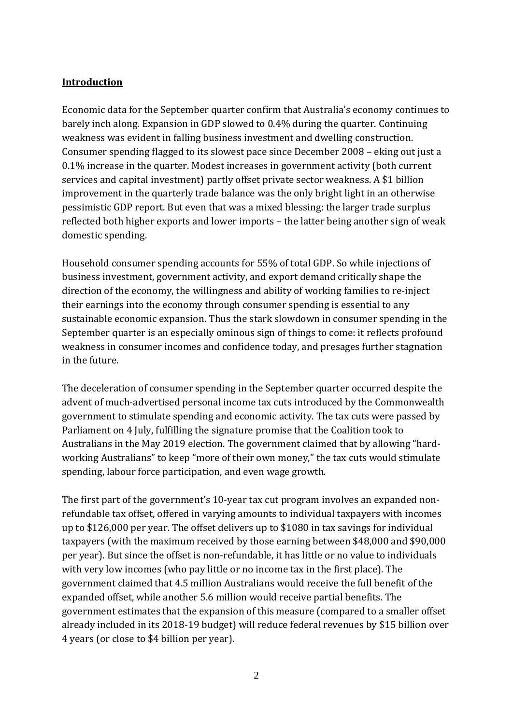#### **Introduction**

Economic data for the September quarter confirm that Australia's economy continues to barely inch along. Expansion in GDP slowed to 0.4% during the quarter. Continuing weakness was evident in falling business investment and dwelling construction. Consumer spending flagged to its slowest pace since December 2008 – eking out just a 0.1% increase in the quarter. Modest increases in government activity (both current services and capital investment) partly offset private sector weakness. A \$1 billion improvement in the quarterly trade balance was the only bright light in an otherwise pessimistic GDP report. But even that was a mixed blessing: the larger trade surplus reflected both higher exports and lower imports – the latter being another sign of weak domestic spending.

Household consumer spending accounts for 55% of total GDP. So while injections of business investment, government activity, and export demand critically shape the direction of the economy, the willingness and ability of working families to re-inject their earnings into the economy through consumer spending is essential to any sustainable economic expansion. Thus the stark slowdown in consumer spending in the September quarter is an especially ominous sign of things to come: it reflects profound weakness in consumer incomes and confidence today, and presages further stagnation in the future.

The deceleration of consumer spending in the September quarter occurred despite the advent of much-advertised personal income tax cuts introduced by the Commonwealth government to stimulate spending and economic activity. The tax cuts were passed by Parliament on 4 July, fulfilling the signature promise that the Coalition took to Australians in the May 2019 election. The government claimed that by allowing "hardworking Australians" to keep "more of their own money," the tax cuts would stimulate spending, labour force participation, and even wage growth.

The first part of the government's 10-year tax cut program involves an expanded nonrefundable tax offset, offered in varying amounts to individual taxpayers with incomes up to \$126,000 per year. The offset delivers up to \$1080 in tax savings for individual taxpayers (with the maximum received by those earning between \$48,000 and \$90,000 per year). But since the offset is non-refundable, it has little or no value to individuals with very low incomes (who pay little or no income tax in the first place). The government claimed that 4.5 million Australians would receive the full benefit of the expanded offset, while another 5.6 million would receive partial benefits. The government estimates that the expansion of this measure (compared to a smaller offset already included in its 2018-19 budget) will reduce federal revenues by \$15 billion over 4 years (or close to \$4 billion per year).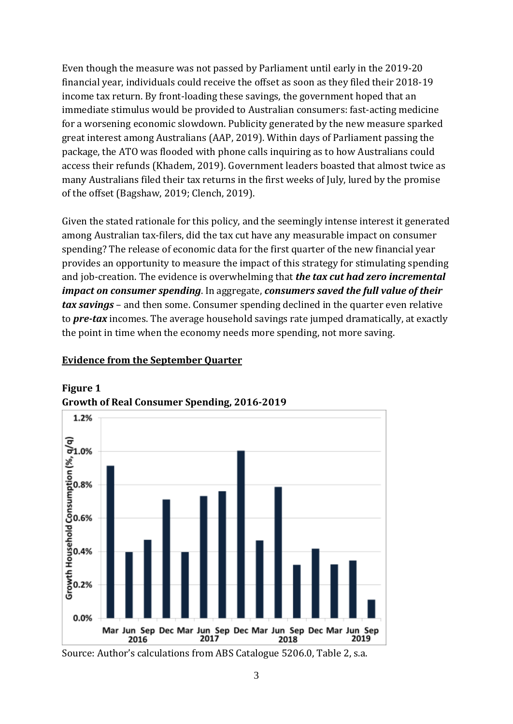Even though the measure was not passed by Parliament until early in the 2019-20 financial year, individuals could receive the offset as soon as they filed their 2018-19 income tax return. By front-loading these savings, the government hoped that an immediate stimulus would be provided to Australian consumers: fast-acting medicine for a worsening economic slowdown. Publicity generated by the new measure sparked great interest among Australians (AAP, 2019). Within days of Parliament passing the package, the ATO was flooded with phone calls inquiring as to how Australians could access their refunds (Khadem, 2019). Government leaders boasted that almost twice as many Australians filed their tax returns in the first weeks of July, lured by the promise of the offset (Bagshaw, 2019; Clench, 2019).

Given the stated rationale for this policy, and the seemingly intense interest it generated among Australian tax-filers, did the tax cut have any measurable impact on consumer spending? The release of economic data for the first quarter of the new financial year provides an opportunity to measure the impact of this strategy for stimulating spending and job-creation. The evidence is overwhelming that *the tax cut had zero incremental impact on consumer spending*. In aggregate, *consumers saved the full value of their tax savings* – and then some. Consumer spending declined in the quarter even relative to *pre-tax* incomes. The average household savings rate jumped dramatically, at exactly the point in time when the economy needs more spending, not more saving.

### **Evidence from the September Quarter**



# **Figure 1**

Source: Author's calculations from ABS Catalogue 5206.0, Table 2, s.a.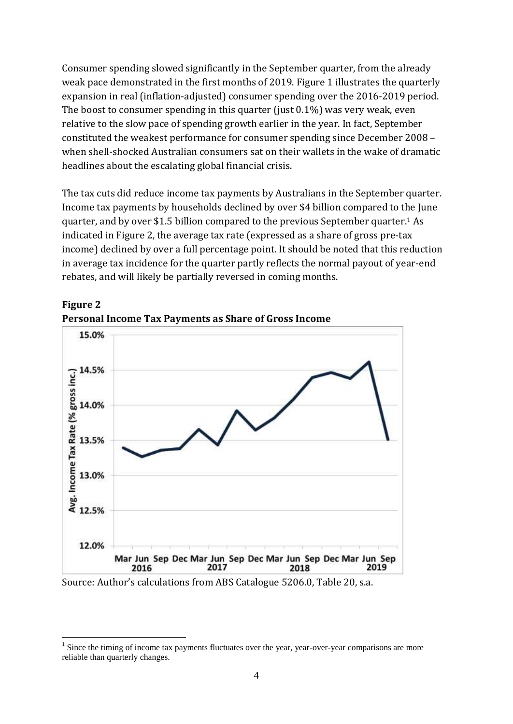Consumer spending slowed significantly in the September quarter, from the already weak pace demonstrated in the first months of 2019. Figure 1 illustrates the quarterly expansion in real (inflation-adjusted) consumer spending over the 2016-2019 period. The boost to consumer spending in this quarter (just 0.1%) was very weak, even relative to the slow pace of spending growth earlier in the year. In fact, September constituted the weakest performance for consumer spending since December 2008 – when shell-shocked Australian consumers sat on their wallets in the wake of dramatic headlines about the escalating global financial crisis.

The tax cuts did reduce income tax payments by Australians in the September quarter. Income tax payments by households declined by over \$4 billion compared to the June quarter, and by over \$1.5 billion compared to the previous September quarter.<sup>1</sup> As indicated in Figure 2, the average tax rate (expressed as a share of gross pre-tax income) declined by over a full percentage point. It should be noted that this reduction in average tax incidence for the quarter partly reflects the normal payout of year-end rebates, and will likely be partially reversed in coming months.



**Figure 2 Personal Income Tax Payments as Share of Gross Income**

Source: Author's calculations from ABS Catalogue 5206.0, Table 20, s.a.

1

<sup>&</sup>lt;sup>1</sup> Since the timing of income tax payments fluctuates over the year, year-over-year comparisons are more reliable than quarterly changes.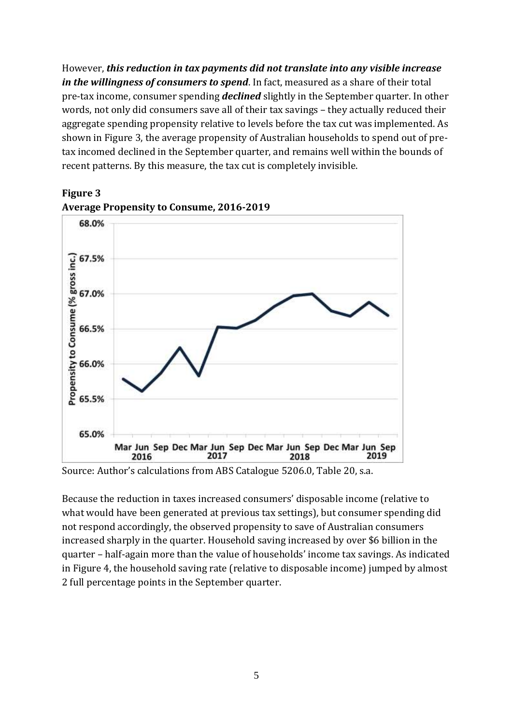However, *this reduction in tax payments did not translate into any visible increase in the willingness of consumers to spend*. In fact, measured as a share of their total pre-tax income, consumer spending *declined* slightly in the September quarter. In other words, not only did consumers save all of their tax savings – they actually reduced their aggregate spending propensity relative to levels before the tax cut was implemented. As shown in Figure 3, the average propensity of Australian households to spend out of pretax incomed declined in the September quarter, and remains well within the bounds of recent patterns. By this measure, the tax cut is completely invisible.



## **Figure 3 Average Propensity to Consume, 2016-2019**

Source: Author's calculations from ABS Catalogue 5206.0, Table 20, s.a.

Because the reduction in taxes increased consumers' disposable income (relative to what would have been generated at previous tax settings), but consumer spending did not respond accordingly, the observed propensity to save of Australian consumers increased sharply in the quarter. Household saving increased by over \$6 billion in the quarter – half-again more than the value of households' income tax savings. As indicated in Figure 4, the household saving rate (relative to disposable income) jumped by almost 2 full percentage points in the September quarter.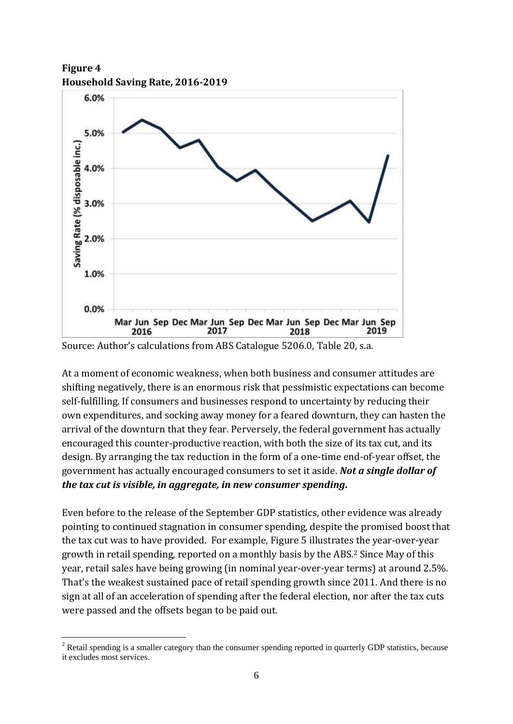**Figure 4 Household Saving Rate, 2016-2019**



Source: Author's calculations from ABS Catalogue 5206.0, Table 20, s.a.

At a moment of economic weakness, when both business and consumer attitudes are shifting negatively, there is an enormous risk that pessimistic expectations can become self-fulfilling. If consumers and businesses respond to uncertainty by reducing their own expenditures, and socking away money for a feared downturn, they can hasten the arrival of the downturn that they fear. Perversely, the federal government has actually encouraged this counter-productive reaction, with both the size of its tax cut, and its design. By arranging the tax reduction in the form of a one-time end-of-year offset, the government has actually encouraged consumers to set it aside. *Not a single dollar of the tax cut is visible, in aggregate, in new consumer spending***.**

Even before to the release of the September GDP statistics, other evidence was already pointing to continued stagnation in consumer spending, despite the promised boost that the tax cut was to have provided. For example, Figure 5 illustrates the year-over-year growth in retail spending, reported on a monthly basis by the ABS.<sup>2</sup> Since May of this year, retail sales have being growing (in nominal year-over-year terms) at around 2.5%. That's the weakest sustained pace of retail spending growth since 2011. And there is no sign at all of an acceleration of spending after the federal election, nor after the tax cuts were passed and the offsets began to be paid out.

<sup>1</sup> <sup>2</sup> Retail spending is a smaller category than the consumer spending reported in quarterly GDP statistics, because it excludes most services.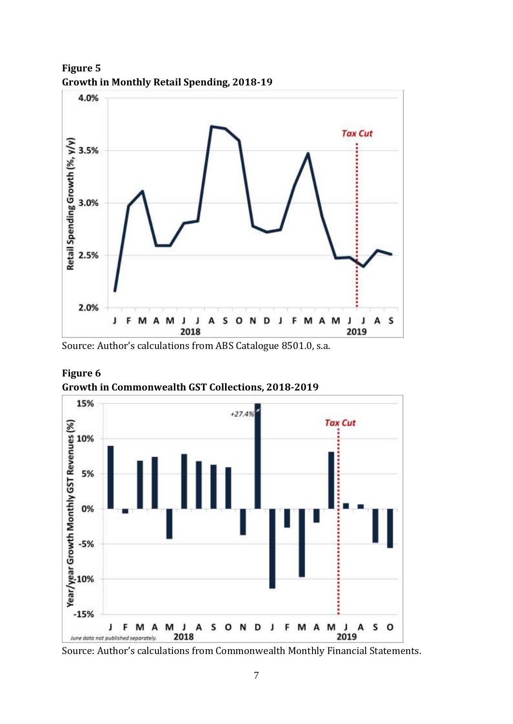

**Figure 5 Growth in Monthly Retail Spending, 2018-19**

Source: Author's calculations from ABS Catalogue 8501.0, s.a.



**Figure 6 Growth in Commonwealth GST Collections, 2018-2019**

Source: Author's calculations from Commonwealth Monthly Financial Statements.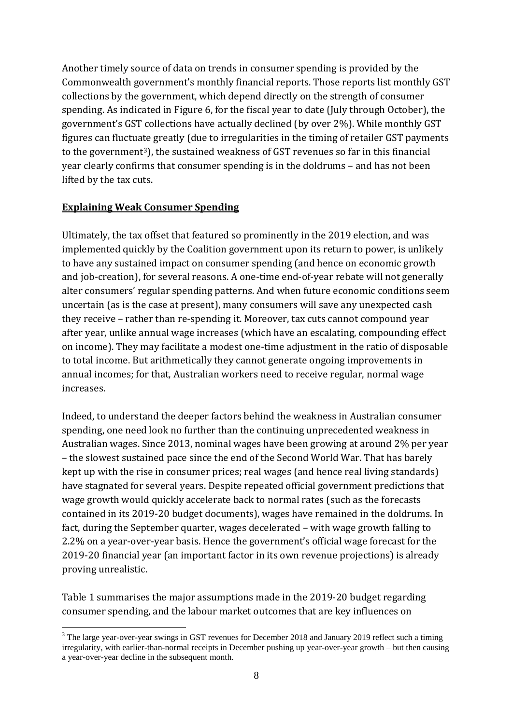Another timely source of data on trends in consumer spending is provided by the Commonwealth government's monthly financial reports. Those reports list monthly GST collections by the government, which depend directly on the strength of consumer spending. As indicated in Figure 6, for the fiscal year to date (July through October), the government's GST collections have actually declined (by over 2%). While monthly GST figures can fluctuate greatly (due to irregularities in the timing of retailer GST payments to the government3), the sustained weakness of GST revenues so far in this financial year clearly confirms that consumer spending is in the doldrums – and has not been lifted by the tax cuts.

#### **Explaining Weak Consumer Spending**

1

Ultimately, the tax offset that featured so prominently in the 2019 election, and was implemented quickly by the Coalition government upon its return to power, is unlikely to have any sustained impact on consumer spending (and hence on economic growth and job-creation), for several reasons. A one-time end-of-year rebate will not generally alter consumers' regular spending patterns. And when future economic conditions seem uncertain (as is the case at present), many consumers will save any unexpected cash they receive – rather than re-spending it. Moreover, tax cuts cannot compound year after year, unlike annual wage increases (which have an escalating, compounding effect on income). They may facilitate a modest one-time adjustment in the ratio of disposable to total income. But arithmetically they cannot generate ongoing improvements in annual incomes; for that, Australian workers need to receive regular, normal wage increases.

Indeed, to understand the deeper factors behind the weakness in Australian consumer spending, one need look no further than the continuing unprecedented weakness in Australian wages. Since 2013, nominal wages have been growing at around 2% per year – the slowest sustained pace since the end of the Second World War. That has barely kept up with the rise in consumer prices; real wages (and hence real living standards) have stagnated for several years. Despite repeated official government predictions that wage growth would quickly accelerate back to normal rates (such as the forecasts contained in its 2019-20 budget documents), wages have remained in the doldrums. In fact, during the September quarter, wages decelerated – with wage growth falling to 2.2% on a year-over-year basis. Hence the government's official wage forecast for the 2019-20 financial year (an important factor in its own revenue projections) is already proving unrealistic.

Table 1 summarises the major assumptions made in the 2019-20 budget regarding consumer spending, and the labour market outcomes that are key influences on

<sup>&</sup>lt;sup>3</sup> The large year-over-year swings in GST revenues for December 2018 and January 2019 reflect such a timing irregularity, with earlier-than-normal receipts in December pushing up year-over-year growth – but then causing a year-over-year decline in the subsequent month.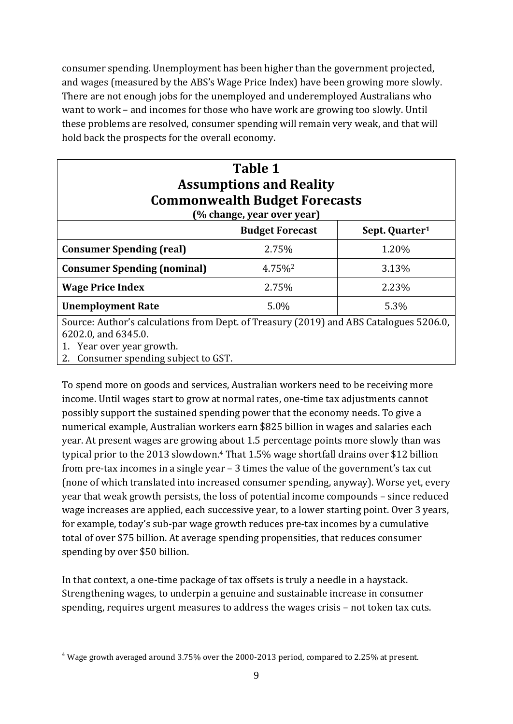consumer spending. Unemployment has been higher than the government projected, and wages (measured by the ABS's Wage Price Index) have been growing more slowly. There are not enough jobs for the unemployed and underemployed Australians who want to work – and incomes for those who have work are growing too slowly. Until these problems are resolved, consumer spending will remain very weak, and that will hold back the prospects for the overall economy.

| <b>Table 1</b><br><b>Assumptions and Reality</b><br><b>Commonwealth Budget Forecasts</b><br>(% change, year over year) |                        |                            |
|------------------------------------------------------------------------------------------------------------------------|------------------------|----------------------------|
|                                                                                                                        | <b>Budget Forecast</b> | Sept. Quarter <sup>1</sup> |
| <b>Consumer Spending (real)</b>                                                                                        | 2.75%                  | 1.20%                      |
| <b>Consumer Spending (nominal)</b>                                                                                     | 4.75% <sup>2</sup>     | 3.13%                      |
| <b>Wage Price Index</b>                                                                                                | 2.75%                  | 2.23%                      |
| <b>Unemployment Rate</b>                                                                                               | 5.0%                   | 5.3%                       |
| Source: Author's calculations from Dept. of Treasury (2019) and ABS Catalogues 5206.0,<br>(0.0000, 1.0000)             |                        |                            |

6202.0, and 6345.0. 1. Year over year growth.

<u>.</u>

2. Consumer spending subject to GST.

To spend more on goods and services, Australian workers need to be receiving more income. Until wages start to grow at normal rates, one-time tax adjustments cannot possibly support the sustained spending power that the economy needs. To give a numerical example, Australian workers earn \$825 billion in wages and salaries each year. At present wages are growing about 1.5 percentage points more slowly than was typical prior to the 2013 slowdown. <sup>4</sup> That 1.5% wage shortfall drains over \$12 billion from pre-tax incomes in a single year – 3 times the value of the government's tax cut (none of which translated into increased consumer spending, anyway). Worse yet, every year that weak growth persists, the loss of potential income compounds – since reduced wage increases are applied, each successive year, to a lower starting point. Over 3 years, for example, today's sub-par wage growth reduces pre-tax incomes by a cumulative total of over \$75 billion. At average spending propensities, that reduces consumer spending by over \$50 billion.

In that context, a one-time package of tax offsets is truly a needle in a haystack. Strengthening wages, to underpin a genuine and sustainable increase in consumer spending, requires urgent measures to address the wages crisis – not token tax cuts.

<sup>&</sup>lt;sup>4</sup> Wage growth averaged around 3.75% over the 2000-2013 period, compared to 2.25% at present.